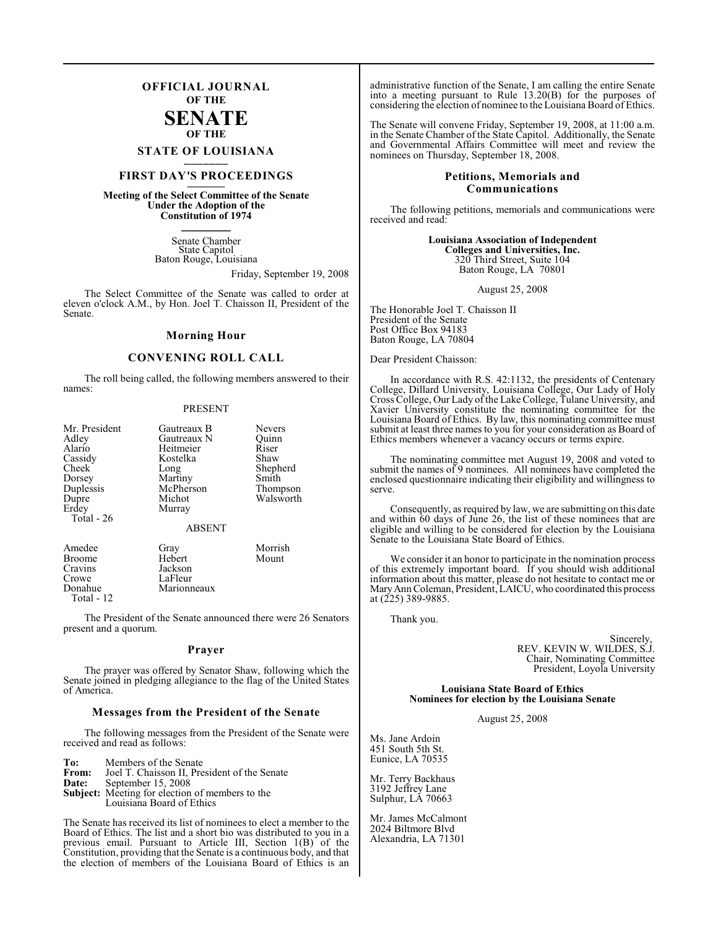# **OFFICIAL JOURNAL OF THE**

# **SENATE OF THE**

# **STATE OF LOUISIANA \_\_\_\_\_\_\_**

# **FIRST DAY'S PROCEEDINGS \_\_\_\_\_\_\_**

**Meeting of the Select Committee of the Senate Under the Adoption of the Constitution of 1974 \_\_\_\_\_\_\_**

> Senate Chamber State Capitol Baton Rouge, Louisiana

> > Friday, September 19, 2008

The Select Committee of the Senate was called to order at eleven o'clock A.M., by Hon. Joel T. Chaisson II, President of the Senate.

### **Morning Hour**

#### **CONVENING ROLL CALL**

The roll being called, the following members answered to their names:

#### PRESENT

| Mr. President<br>Adley<br>Alario<br>Cassidy<br><b>Cheek</b><br>Dorsey | Gautreaux B<br>Gautreaux N<br>Heitmeier<br>Kostelka<br>Long<br>Martiny | Nevers<br>Ouinn<br>Riser<br>Shaw<br>Shepherd<br>Smith |
|-----------------------------------------------------------------------|------------------------------------------------------------------------|-------------------------------------------------------|
| Duplessis<br>Dupre<br>Erdey<br>Total $-26$                            | McPherson<br>Michot<br>Murray<br><b>ABSENT</b>                         | Thompson<br>Walsworth                                 |
| Amedee<br><b>Broome</b><br>Cravins<br>Crowe<br>Donahue                | Gray<br>Hebert<br>Jackson<br>LaFleur<br>Marionneaux                    | Morrish<br>Mount                                      |

Total - 12

The President of the Senate announced there were 26 Senators present and a quorum.

#### **Prayer**

The prayer was offered by Senator Shaw, following which the Senate joined in pledging allegiance to the flag of the United States of America.

#### **Messages from the President of the Senate**

The following messages from the President of the Senate were received and read as follows:

**To:** Members of the Senate<br>**From:** Joel T. Chaisson II, Pre **From:** Joel T. Chaisson II, President of the Senate<br>Date: Sentember 15, 2008 September 15, 2008 **Subject:** Meeting for election of members to the Louisiana Board of Ethics

The Senate has received its list of nominees to elect a member to the Board of Ethics. The list and a short bio was distributed to you in a previous email. Pursuant to Article III, Section 1(B) of the Constitution, providing that the Senate is a continuous body, and that the election of members of the Louisiana Board of Ethics is an administrative function of the Senate, I am calling the entire Senate into a meeting pursuant to Rule 13.20(B) for the purposes of considering the election of nominee to the Louisiana Board of Ethics.

The Senate will convene Friday, September 19, 2008, at 11:00 a.m. in the Senate Chamber of the State Capitol. Additionally, the Senate and Governmental Affairs Committee will meet and review the nominees on Thursday, September 18, 2008.

#### **Petitions, Memorials and Communications**

The following petitions, memorials and communications were received and read:

> **Louisiana Association of Independent Colleges and Universities, Inc.** 320 Third Street, Suite 104 Baton Rouge, LA 70801

> > August 25, 2008

The Honorable Joel T. Chaisson II President of the Senate Post Office Box 94183 Baton Rouge, LA 70804

Dear President Chaisson:

In accordance with R.S. 42:1132, the presidents of Centenary College, Dillard University, Louisiana College, Our Lady of Holy Cross College, Our Lady of the Lake College,Tulane University, and Xavier University constitute the nominating committee for the Louisiana Board of Ethics. By law, this nominating committee must submit at least three names to you for your consideration as Board of Ethics members whenever a vacancy occurs or terms expire.

The nominating committee met August 19, 2008 and voted to submit the names of 9 nominees. All nominees have completed the enclosed questionnaire indicating their eligibility and willingness to serve.

Consequently, as required by law, we are submitting on this date and within 60 days of June 26, the list of these nominees that are eligible and willing to be considered for election by the Louisiana Senate to the Louisiana State Board of Ethics.

We consider it an honor to participate in the nomination process of this extremely important board. If you should wish additional information about this matter, please do not hesitate to contact me or Mary Ann Coleman, President, LAICU, who coordinated this process at (225) 389-9885.

Thank you.

Sincerely, REV. KEVIN W. WILDES, S.J. Chair, Nominating Committee President, Loyola University

#### **Louisiana State Board of Ethics Nominees for election by the Louisiana Senate**

August 25, 2008

Ms. Jane Ardoin 451 South 5th St. Eunice, LA 70535

Mr. Terry Backhaus 3192 Jeffrey Lane Sulphur, LA 70663

Mr. James McCalmont 2024 Biltmore Blvd Alexandria, LA 71301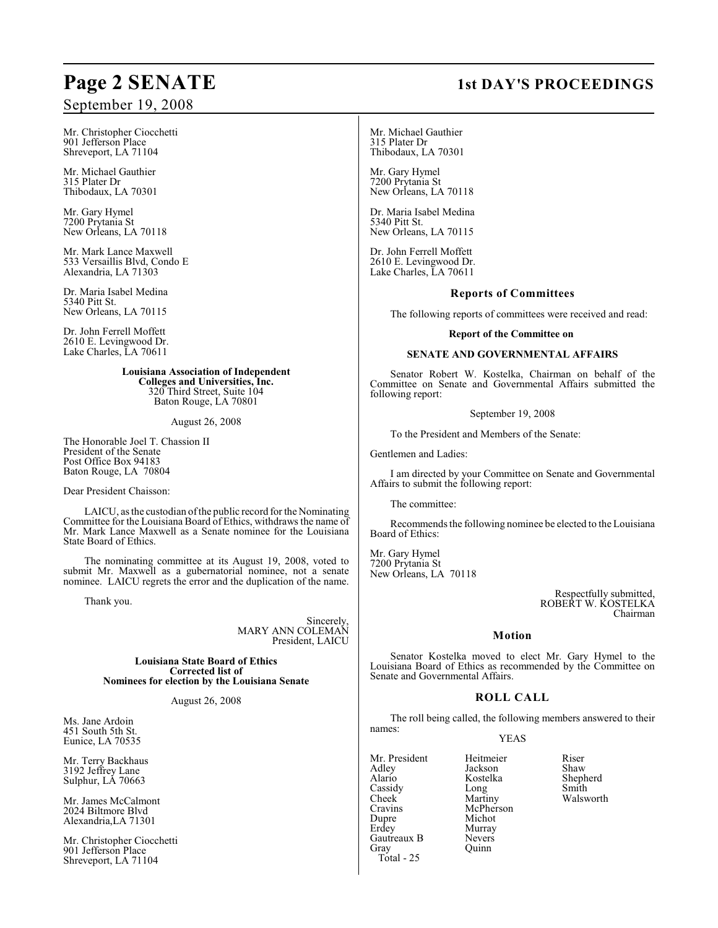# September 19, 2008

Mr. Christopher Ciocchetti 901 Jefferson Place Shreveport, LA 71104

Mr. Michael Gauthier 315 Plater Dr Thibodaux, LA 70301

Mr. Gary Hymel 7200 Prytania St New Orleans, LA 70118

Mr. Mark Lance Maxwell 533 Versaillis Blvd, Condo E Alexandria, LA 71303

Dr. Maria Isabel Medina 5340 Pitt St. New Orleans, LA 70115

Dr. John Ferrell Moffett 2610 E. Levingwood Dr. Lake Charles, LA 70611

> **Louisiana Association of Independent Colleges and Universities, Inc.** 320 Third Street, Suite 104 Baton Rouge, LA 70801

> > August 26, 2008

The Honorable Joel T. Chassion II President of the Senate Post Office Box 94183 Baton Rouge, LA 70804

Dear President Chaisson:

LAICU, as the custodian of the public record for the Nominating Committee for the Louisiana Board of Ethics, withdraws the name of Mr. Mark Lance Maxwell as a Senate nominee for the Louisiana State Board of Ethics.

The nominating committee at its August 19, 2008, voted to submit Mr. Maxwell as a gubernatorial nominee, not a senate nominee. LAICU regrets the error and the duplication of the name.

Thank you.

Sincerely, MARY ANN COLEMAN President, LAICU

**Louisiana State Board of Ethics Corrected list of Nominees for election by the Louisiana Senate**

August 26, 2008

Ms. Jane Ardoin 451 South 5th St. Eunice, LA 70535

Mr. Terry Backhaus 3192 Jeffrey Lane Sulphur, LA 70663

Mr. James McCalmont 2024 Biltmore Blvd Alexandria,LA 71301

Mr. Christopher Ciocchetti 901 Jefferson Place Shreveport, LA 71104

# **Page 2 SENATE** 1st DAY'S PROCEEDINGS

Mr. Michael Gauthier 315 Plater Dr Thibodaux, LA 70301

Mr. Gary Hymel 7200 Prytania St New Orleans, LA 70118

Dr. Maria Isabel Medina 5340 Pitt St. New Orleans, LA 70115

Dr. John Ferrell Moffett 2610 E. Levingwood Dr. Lake Charles, LA 70611

#### **Reports of Committees**

The following reports of committees were received and read:

#### **Report of the Committee on**

#### **SENATE AND GOVERNMENTAL AFFAIRS**

Senator Robert W. Kostelka, Chairman on behalf of the Committee on Senate and Governmental Affairs submitted the following report:

September 19, 2008

To the President and Members of the Senate:

Gentlemen and Ladies:

I am directed by your Committee on Senate and Governmental Affairs to submit the following report:

The committee:

Recommends the following nominee be elected to the Louisiana Board of Ethics:

Mr. Gary Hymel 7200 Prytania St New Orleans, LA 70118

> Respectfully submitted, ROBERT W. KOSTELKA Chairman

### **Motion**

Senator Kostelka moved to elect Mr. Gary Hymel to the Louisiana Board of Ethics as recommended by the Committee on Senate and Governmental Affairs.

## **ROLL CALL**

The roll being called, the following members answered to their names:

### YEAS

Murray<br>Nevers

Quinn

Mr. President Heitmeier Riser<br>Adley Beckson Shaw Adley Jackson Shaw Cassidy Long<br>Cheek Martiny Cheek Martiny Walsworth<br>Cravins McPherson Cravins McPherson<br>
Dupre Michot Dupre Michot<br>Erdey Murray Gautreaux B<br>Grav Total - 25

Kostelka Shepherd<br>Long Smith